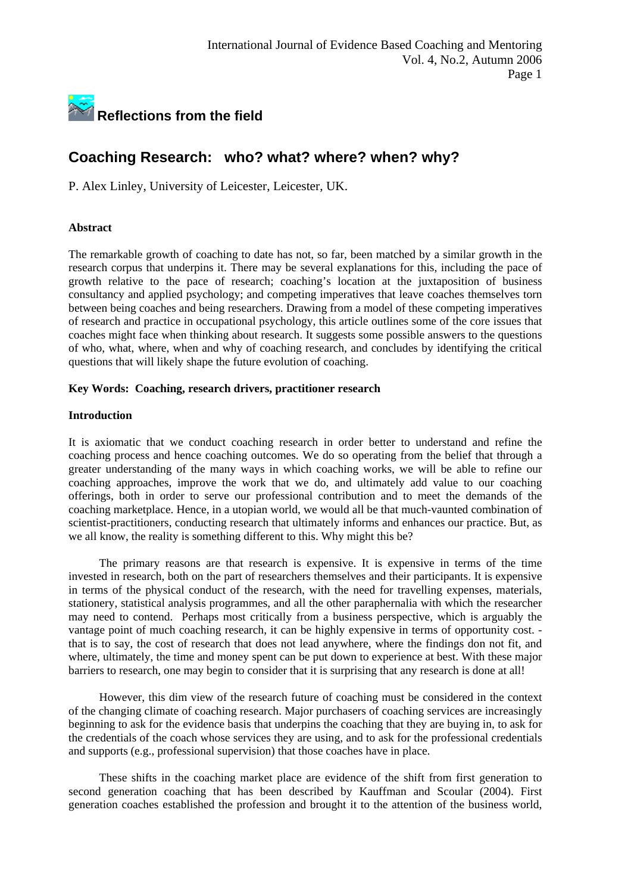

# **Coaching Research: who? what? where? when? why?**

P. Alex Linley, University of Leicester, Leicester, UK.

## **Abstract**

The remarkable growth of coaching to date has not, so far, been matched by a similar growth in the research corpus that underpins it. There may be several explanations for this, including the pace of growth relative to the pace of research; coaching's location at the juxtaposition of business consultancy and applied psychology; and competing imperatives that leave coaches themselves torn between being coaches and being researchers. Drawing from a model of these competing imperatives of research and practice in occupational psychology, this article outlines some of the core issues that coaches might face when thinking about research. It suggests some possible answers to the questions of who, what, where, when and why of coaching research, and concludes by identifying the critical questions that will likely shape the future evolution of coaching.

## **Key Words: Coaching, research drivers, practitioner research**

## **Introduction**

It is axiomatic that we conduct coaching research in order better to understand and refine the coaching process and hence coaching outcomes. We do so operating from the belief that through a greater understanding of the many ways in which coaching works, we will be able to refine our coaching approaches, improve the work that we do, and ultimately add value to our coaching offerings, both in order to serve our professional contribution and to meet the demands of the coaching marketplace. Hence, in a utopian world, we would all be that much-vaunted combination of scientist-practitioners, conducting research that ultimately informs and enhances our practice. But, as we all know, the reality is something different to this. Why might this be?

The primary reasons are that research is expensive. It is expensive in terms of the time invested in research, both on the part of researchers themselves and their participants. It is expensive in terms of the physical conduct of the research, with the need for travelling expenses, materials, stationery, statistical analysis programmes, and all the other paraphernalia with which the researcher may need to contend. Perhaps most critically from a business perspective, which is arguably the vantage point of much coaching research, it can be highly expensive in terms of opportunity cost. that is to say, the cost of research that does not lead anywhere, where the findings don not fit, and where, ultimately, the time and money spent can be put down to experience at best. With these major barriers to research, one may begin to consider that it is surprising that any research is done at all!

However, this dim view of the research future of coaching must be considered in the context of the changing climate of coaching research. Major purchasers of coaching services are increasingly beginning to ask for the evidence basis that underpins the coaching that they are buying in, to ask for the credentials of the coach whose services they are using, and to ask for the professional credentials and supports (e.g., professional supervision) that those coaches have in place.

These shifts in the coaching market place are evidence of the shift from first generation to second generation coaching that has been described by Kauffman and Scoular (2004). First generation coaches established the profession and brought it to the attention of the business world,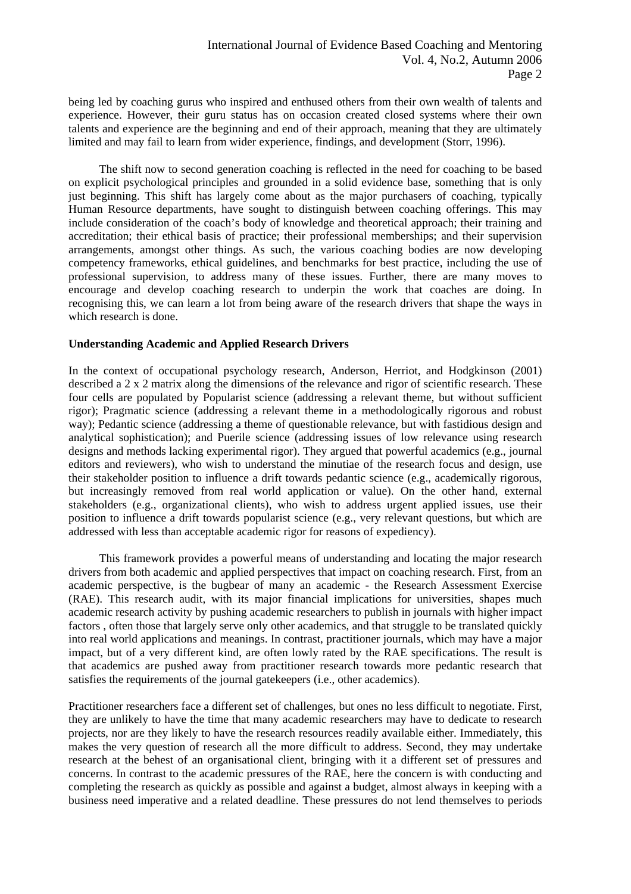being led by coaching gurus who inspired and enthused others from their own wealth of talents and experience. However, their guru status has on occasion created closed systems where their own talents and experience are the beginning and end of their approach, meaning that they are ultimately limited and may fail to learn from wider experience, findings, and development (Storr, 1996).

 The shift now to second generation coaching is reflected in the need for coaching to be based on explicit psychological principles and grounded in a solid evidence base, something that is only just beginning. This shift has largely come about as the major purchasers of coaching, typically Human Resource departments, have sought to distinguish between coaching offerings. This may include consideration of the coach's body of knowledge and theoretical approach; their training and accreditation; their ethical basis of practice; their professional memberships; and their supervision arrangements, amongst other things. As such, the various coaching bodies are now developing competency frameworks, ethical guidelines, and benchmarks for best practice, including the use of professional supervision, to address many of these issues. Further, there are many moves to encourage and develop coaching research to underpin the work that coaches are doing. In recognising this, we can learn a lot from being aware of the research drivers that shape the ways in which research is done.

#### **Understanding Academic and Applied Research Drivers**

In the context of occupational psychology research, Anderson, Herriot, and Hodgkinson (2001) described a 2 x 2 matrix along the dimensions of the relevance and rigor of scientific research. These four cells are populated by Popularist science (addressing a relevant theme, but without sufficient rigor); Pragmatic science (addressing a relevant theme in a methodologically rigorous and robust way); Pedantic science (addressing a theme of questionable relevance, but with fastidious design and analytical sophistication); and Puerile science (addressing issues of low relevance using research designs and methods lacking experimental rigor). They argued that powerful academics (e.g., journal editors and reviewers), who wish to understand the minutiae of the research focus and design, use their stakeholder position to influence a drift towards pedantic science (e.g., academically rigorous, but increasingly removed from real world application or value). On the other hand, external stakeholders (e.g., organizational clients), who wish to address urgent applied issues, use their position to influence a drift towards popularist science (e.g., very relevant questions, but which are addressed with less than acceptable academic rigor for reasons of expediency).

 This framework provides a powerful means of understanding and locating the major research drivers from both academic and applied perspectives that impact on coaching research. First, from an academic perspective, is the bugbear of many an academic - the Research Assessment Exercise (RAE). This research audit, with its major financial implications for universities, shapes much academic research activity by pushing academic researchers to publish in journals with higher impact factors , often those that largely serve only other academics, and that struggle to be translated quickly into real world applications and meanings. In contrast, practitioner journals, which may have a major impact, but of a very different kind, are often lowly rated by the RAE specifications. The result is that academics are pushed away from practitioner research towards more pedantic research that satisfies the requirements of the journal gatekeepers (i.e., other academics).

Practitioner researchers face a different set of challenges, but ones no less difficult to negotiate. First, they are unlikely to have the time that many academic researchers may have to dedicate to research projects, nor are they likely to have the research resources readily available either. Immediately, this makes the very question of research all the more difficult to address. Second, they may undertake research at the behest of an organisational client, bringing with it a different set of pressures and concerns. In contrast to the academic pressures of the RAE, here the concern is with conducting and completing the research as quickly as possible and against a budget, almost always in keeping with a business need imperative and a related deadline. These pressures do not lend themselves to periods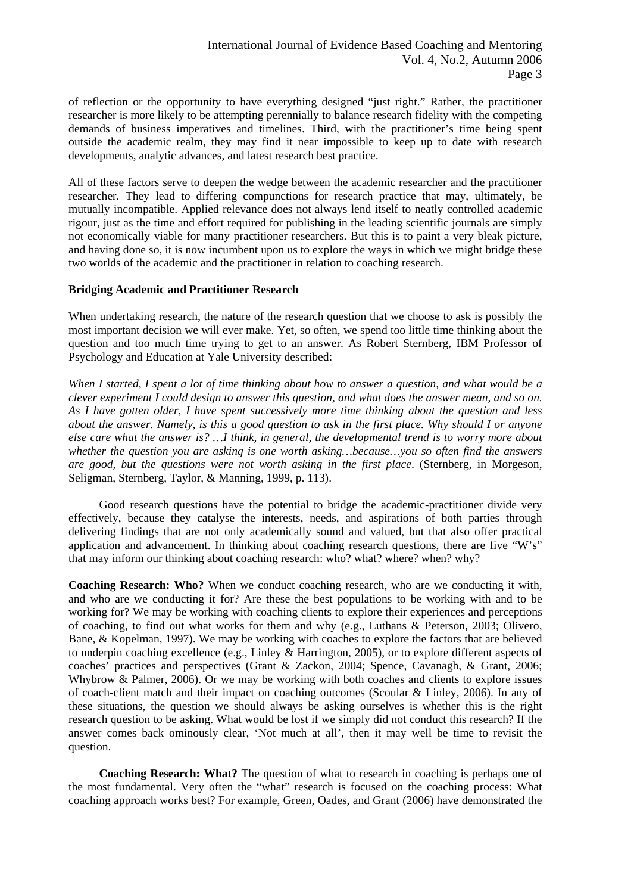of reflection or the opportunity to have everything designed "just right." Rather, the practitioner researcher is more likely to be attempting perennially to balance research fidelity with the competing demands of business imperatives and timelines. Third, with the practitioner's time being spent outside the academic realm, they may find it near impossible to keep up to date with research developments, analytic advances, and latest research best practice.

All of these factors serve to deepen the wedge between the academic researcher and the practitioner researcher. They lead to differing compunctions for research practice that may, ultimately, be mutually incompatible. Applied relevance does not always lend itself to neatly controlled academic rigour, just as the time and effort required for publishing in the leading scientific journals are simply not economically viable for many practitioner researchers. But this is to paint a very bleak picture, and having done so, it is now incumbent upon us to explore the ways in which we might bridge these two worlds of the academic and the practitioner in relation to coaching research.

#### **Bridging Academic and Practitioner Research**

When undertaking research, the nature of the research question that we choose to ask is possibly the most important decision we will ever make. Yet, so often, we spend too little time thinking about the question and too much time trying to get to an answer. As Robert Sternberg, IBM Professor of Psychology and Education at Yale University described:

*When I started, I spent a lot of time thinking about how to answer a question, and what would be a clever experiment I could design to answer this question, and what does the answer mean, and so on. As I have gotten older, I have spent successively more time thinking about the question and less about the answer. Namely, is this a good question to ask in the first place. Why should I or anyone else care what the answer is? …I think, in general, the developmental trend is to worry more about whether the question you are asking is one worth asking…because…you so often find the answers are good, but the questions were not worth asking in the first place*. (Sternberg, in Morgeson, Seligman, Sternberg, Taylor, & Manning, 1999, p. 113).

 Good research questions have the potential to bridge the academic-practitioner divide very effectively, because they catalyse the interests, needs, and aspirations of both parties through delivering findings that are not only academically sound and valued, but that also offer practical application and advancement. In thinking about coaching research questions, there are five "W's" that may inform our thinking about coaching research: who? what? where? when? why?

**Coaching Research: Who?** When we conduct coaching research, who are we conducting it with, and who are we conducting it for? Are these the best populations to be working with and to be working for? We may be working with coaching clients to explore their experiences and perceptions of coaching, to find out what works for them and why (e.g., Luthans & Peterson, 2003; Olivero, Bane, & Kopelman, 1997). We may be working with coaches to explore the factors that are believed to underpin coaching excellence (e.g., Linley & Harrington, 2005), or to explore different aspects of coaches' practices and perspectives (Grant & Zackon, 2004; Spence, Cavanagh, & Grant, 2006; Whybrow & Palmer, 2006). Or we may be working with both coaches and clients to explore issues of coach-client match and their impact on coaching outcomes (Scoular & Linley, 2006). In any of these situations, the question we should always be asking ourselves is whether this is the right research question to be asking. What would be lost if we simply did not conduct this research? If the answer comes back ominously clear, 'Not much at all', then it may well be time to revisit the question.

**Coaching Research: What?** The question of what to research in coaching is perhaps one of the most fundamental. Very often the "what" research is focused on the coaching process: What coaching approach works best? For example, Green, Oades, and Grant (2006) have demonstrated the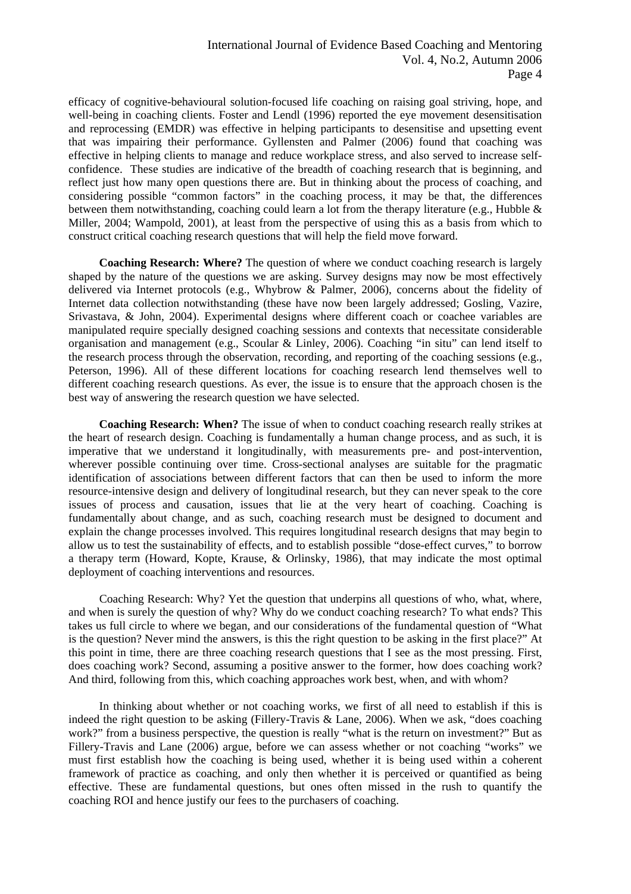efficacy of cognitive-behavioural solution-focused life coaching on raising goal striving, hope, and well-being in coaching clients. Foster and Lendl (1996) reported the eye movement desensitisation and reprocessing (EMDR) was effective in helping participants to desensitise and upsetting event that was impairing their performance. Gyllensten and Palmer (2006) found that coaching was effective in helping clients to manage and reduce workplace stress, and also served to increase selfconfidence. These studies are indicative of the breadth of coaching research that is beginning, and reflect just how many open questions there are. But in thinking about the process of coaching, and considering possible "common factors" in the coaching process, it may be that, the differences between them notwithstanding, coaching could learn a lot from the therapy literature (e.g., Hubble & Miller, 2004; Wampold, 2001), at least from the perspective of using this as a basis from which to construct critical coaching research questions that will help the field move forward.

**Coaching Research: Where?** The question of where we conduct coaching research is largely shaped by the nature of the questions we are asking. Survey designs may now be most effectively delivered via Internet protocols (e.g., Whybrow & Palmer, 2006), concerns about the fidelity of Internet data collection notwithstanding (these have now been largely addressed; Gosling, Vazire, Srivastava, & John, 2004). Experimental designs where different coach or coachee variables are manipulated require specially designed coaching sessions and contexts that necessitate considerable organisation and management (e.g., Scoular & Linley, 2006). Coaching "in situ" can lend itself to the research process through the observation, recording, and reporting of the coaching sessions (e.g., Peterson, 1996). All of these different locations for coaching research lend themselves well to different coaching research questions. As ever, the issue is to ensure that the approach chosen is the best way of answering the research question we have selected.

**Coaching Research: When?** The issue of when to conduct coaching research really strikes at the heart of research design. Coaching is fundamentally a human change process, and as such, it is imperative that we understand it longitudinally, with measurements pre- and post-intervention, wherever possible continuing over time. Cross-sectional analyses are suitable for the pragmatic identification of associations between different factors that can then be used to inform the more resource-intensive design and delivery of longitudinal research, but they can never speak to the core issues of process and causation, issues that lie at the very heart of coaching. Coaching is fundamentally about change, and as such, coaching research must be designed to document and explain the change processes involved. This requires longitudinal research designs that may begin to allow us to test the sustainability of effects, and to establish possible "dose-effect curves," to borrow a therapy term (Howard, Kopte, Krause, & Orlinsky, 1986), that may indicate the most optimal deployment of coaching interventions and resources.

 Coaching Research: Why? Yet the question that underpins all questions of who, what, where, and when is surely the question of why? Why do we conduct coaching research? To what ends? This takes us full circle to where we began, and our considerations of the fundamental question of "What is the question? Never mind the answers, is this the right question to be asking in the first place?" At this point in time, there are three coaching research questions that I see as the most pressing. First, does coaching work? Second, assuming a positive answer to the former, how does coaching work? And third, following from this, which coaching approaches work best, when, and with whom?

 In thinking about whether or not coaching works, we first of all need to establish if this is indeed the right question to be asking (Fillery-Travis & Lane, 2006). When we ask, "does coaching work?" from a business perspective, the question is really "what is the return on investment?" But as Fillery-Travis and Lane (2006) argue, before we can assess whether or not coaching "works" we must first establish how the coaching is being used, whether it is being used within a coherent framework of practice as coaching, and only then whether it is perceived or quantified as being effective. These are fundamental questions, but ones often missed in the rush to quantify the coaching ROI and hence justify our fees to the purchasers of coaching.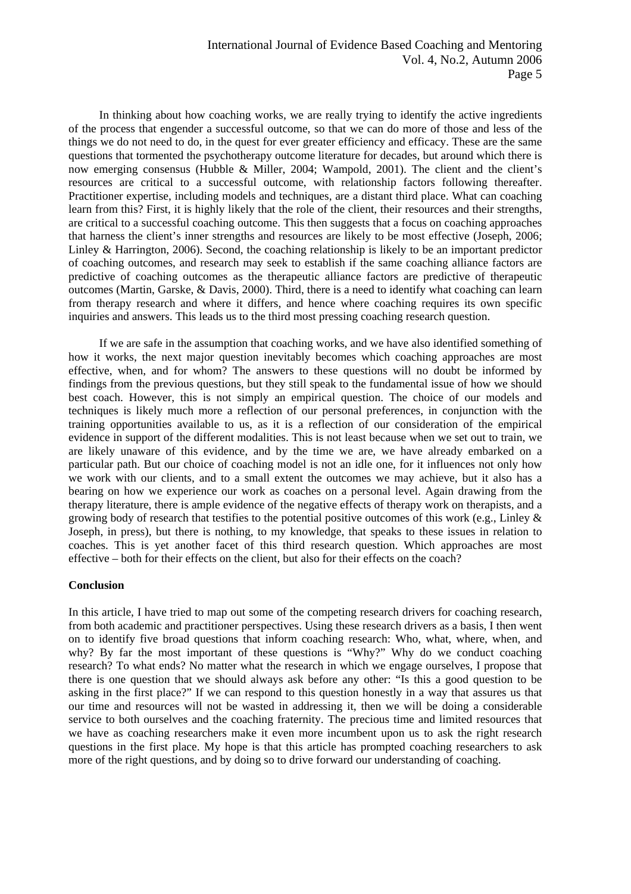In thinking about how coaching works, we are really trying to identify the active ingredients of the process that engender a successful outcome, so that we can do more of those and less of the things we do not need to do, in the quest for ever greater efficiency and efficacy. These are the same questions that tormented the psychotherapy outcome literature for decades, but around which there is now emerging consensus (Hubble & Miller, 2004; Wampold, 2001). The client and the client's resources are critical to a successful outcome, with relationship factors following thereafter. Practitioner expertise, including models and techniques, are a distant third place. What can coaching learn from this? First, it is highly likely that the role of the client, their resources and their strengths, are critical to a successful coaching outcome. This then suggests that a focus on coaching approaches that harness the client's inner strengths and resources are likely to be most effective (Joseph, 2006; Linley & Harrington, 2006). Second, the coaching relationship is likely to be an important predictor of coaching outcomes, and research may seek to establish if the same coaching alliance factors are predictive of coaching outcomes as the therapeutic alliance factors are predictive of therapeutic outcomes (Martin, Garske, & Davis, 2000). Third, there is a need to identify what coaching can learn from therapy research and where it differs, and hence where coaching requires its own specific inquiries and answers. This leads us to the third most pressing coaching research question.

 If we are safe in the assumption that coaching works, and we have also identified something of how it works, the next major question inevitably becomes which coaching approaches are most effective, when, and for whom? The answers to these questions will no doubt be informed by findings from the previous questions, but they still speak to the fundamental issue of how we should best coach. However, this is not simply an empirical question. The choice of our models and techniques is likely much more a reflection of our personal preferences, in conjunction with the training opportunities available to us, as it is a reflection of our consideration of the empirical evidence in support of the different modalities. This is not least because when we set out to train, we are likely unaware of this evidence, and by the time we are, we have already embarked on a particular path. But our choice of coaching model is not an idle one, for it influences not only how we work with our clients, and to a small extent the outcomes we may achieve, but it also has a bearing on how we experience our work as coaches on a personal level. Again drawing from the therapy literature, there is ample evidence of the negative effects of therapy work on therapists, and a growing body of research that testifies to the potential positive outcomes of this work (e.g., Linley  $\&$ Joseph, in press), but there is nothing, to my knowledge, that speaks to these issues in relation to coaches. This is yet another facet of this third research question. Which approaches are most effective – both for their effects on the client, but also for their effects on the coach?

#### **Conclusion**

In this article, I have tried to map out some of the competing research drivers for coaching research, from both academic and practitioner perspectives. Using these research drivers as a basis, I then went on to identify five broad questions that inform coaching research: Who, what, where, when, and why? By far the most important of these questions is "Why?" Why do we conduct coaching research? To what ends? No matter what the research in which we engage ourselves, I propose that there is one question that we should always ask before any other: "Is this a good question to be asking in the first place?" If we can respond to this question honestly in a way that assures us that our time and resources will not be wasted in addressing it, then we will be doing a considerable service to both ourselves and the coaching fraternity. The precious time and limited resources that we have as coaching researchers make it even more incumbent upon us to ask the right research questions in the first place. My hope is that this article has prompted coaching researchers to ask more of the right questions, and by doing so to drive forward our understanding of coaching.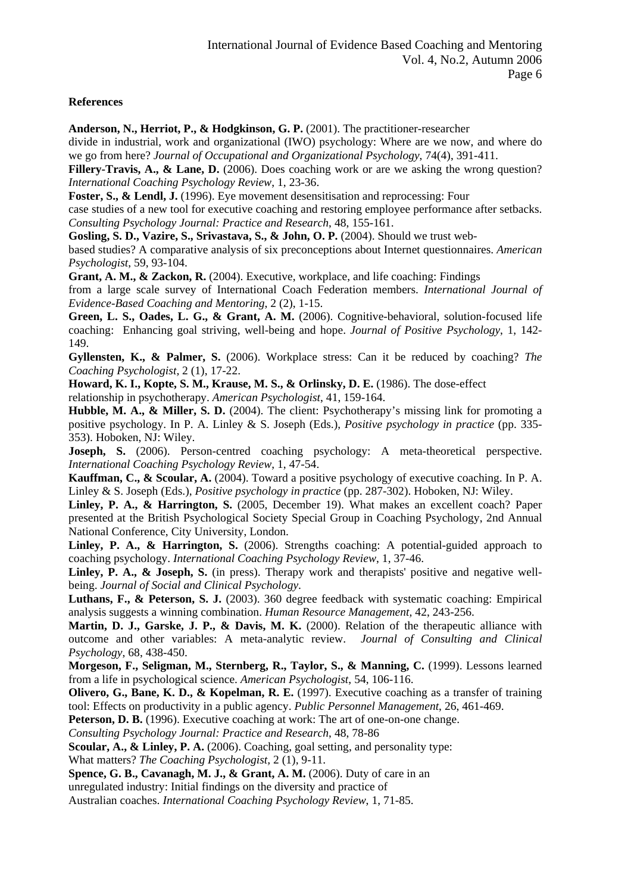## **References**

**Anderson, N., Herriot, P., & Hodgkinson, G. P.** (2001). The practitioner-researcher

divide in industrial, work and organizational (IWO) psychology: Where are we now, and where do we go from here? *Journal of Occupational and Organizational Psychology*, 74(4), 391-411.

Fillery-Travis, A., & Lane, D. (2006). Does coaching work or are we asking the wrong question? *International Coaching Psychology Review*, 1, 23-36.

**Foster, S., & Lendl, J.** (1996). Eye movement desensitisation and reprocessing: Four

case studies of a new tool for executive coaching and restoring employee performance after setbacks. *Consulting Psychology Journal: Practice and Research*, 48, 155-161.

**Gosling, S. D., Vazire, S., Srivastava, S., & John, O. P.** (2004). Should we trust web-

based studies? A comparative analysis of six preconceptions about Internet questionnaires. *American Psychologist*, 59, 93-104.

**Grant, A. M., & Zackon, R.** (2004). Executive, workplace, and life coaching: Findings

from a large scale survey of International Coach Federation members. *International Journal of Evidence-Based Coaching and Mentoring*, 2 (2), 1-15.

**Green, L. S., Oades, L. G., & Grant, A. M.** (2006). Cognitive-behavioral, solution-focused life coaching: Enhancing goal striving, well-being and hope. *Journal of Positive Psychology*, 1, 142- 149.

**Gyllensten, K., & Palmer, S.** (2006). Workplace stress: Can it be reduced by coaching? *The Coaching Psychologist,* 2 (1), 17-22.

**Howard, K. I., Kopte, S. M., Krause, M. S., & Orlinsky, D. E.** (1986). The dose-effect relationship in psychotherapy. *American Psychologist*, 41, 159-164.

**Hubble, M. A., & Miller, S. D.** (2004). The client: Psychotherapy's missing link for promoting a positive psychology. In P. A. Linley & S. Joseph (Eds.), *Positive psychology in practice* (pp. 335- 353). Hoboken, NJ: Wiley.

**Joseph, S.** (2006). Person-centred coaching psychology: A meta-theoretical perspective. *International Coaching Psychology Review*, 1, 47-54.

**Kauffman, C., & Scoular, A.** (2004). Toward a positive psychology of executive coaching. In P. A. Linley & S. Joseph (Eds.), *Positive psychology in practice* (pp. 287-302). Hoboken, NJ: Wiley.

Linley, P. A., & Harrington, S. (2005, December 19). What makes an excellent coach? Paper presented at the British Psychological Society Special Group in Coaching Psychology, 2nd Annual National Conference, City University, London.

Linley, P. A., & Harrington, S. (2006). Strengths coaching: A potential-guided approach to coaching psychology. *International Coaching Psychology Review*, 1, 37-46.

Linley, P. A., & Joseph, S. (in press). Therapy work and therapists' positive and negative wellbeing. *Journal of Social and Clinical Psychology*.

Luthans, F., & Peterson, S. J. (2003). 360 degree feedback with systematic coaching: Empirical analysis suggests a winning combination. *Human Resource Management,* 42, 243-256.

**Martin, D. J., Garske, J. P., & Davis, M. K.** (2000). Relation of the therapeutic alliance with outcome and other variables: A meta-analytic review. *Journal of Consulting and Clinical Psychology*, 68, 438-450.

**Morgeson, F., Seligman, M., Sternberg, R., Taylor, S., & Manning, C.** (1999). Lessons learned from a life in psychological science. *American Psychologist*, 54, 106-116.

**Olivero, G., Bane, K. D., & Kopelman, R. E.** (1997). Executive coaching as a transfer of training tool: Effects on productivity in a public agency. *Public Personnel Management*, 26, 461-469.

**Peterson, D. B.** (1996). Executive coaching at work: The art of one-on-one change.

*Consulting Psychology Journal: Practice and Research*, 48, 78-86

**Scoular, A., & Linley, P. A.** (2006). Coaching, goal setting, and personality type:

What matters? *The Coaching Psychologist,* 2 (1), 9-11.

**Spence, G. B., Cavanagh, M. J., & Grant, A. M.** (2006). Duty of care in an unregulated industry: Initial findings on the diversity and practice of

Australian coaches. *International Coaching Psychology Review*, 1, 71-85.